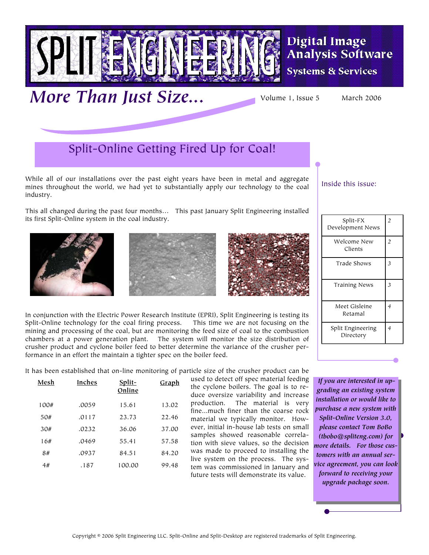

More Than Just Size... Volume 1, Issue 5 March 2006

**Digital Image Analysis Software** 

**Systems & Services** 

### Split-Online Getting Fired Up for Coal!

While all of our installations over the past eight years have been in metal and aggregate mines throughout the world, we had yet to substantially apply our technology to the coal industry.

This all changed during the past four months… This past January Split Engineering installed its first Split-Online system in the coal industry.



**Mesh Inches Split-**

**Online**

100# .0059 15.61 13.02 50# .0117 23.73 22.46 30# .0232 36.06 37.00 16# .0469 55.41 57.58 8# .0937 84.51 84.20 4# .187 100.00 99.48





In conjunction with the Electric Power Research Institute (EPRI), Split Engineering is testing its Split-Online technology for the coal firing process. This time we are not focusing on the mining and processing of the coal, but are monitoring the feed size of coal to the combustion chambers at a power generation plant. The system will monitor the size distribution of crusher product and cyclone boiler feed to better determine the variance of the crusher performance in an effort the maintain a tighter spec on the boiler feed.

It has been established that on-line monitoring of particle size of the crusher product can be **Graph**

used to detect off spec material feeding the cyclone boilers. The goal is to reduce oversize variability and increase production.The material is very fine...much finer than the coarse rock material we typically monitor. However, initial in-house lab tests on small samples showed reasonable correlation with sieve values, so the decision was made to proceed to installing the live system on the process. The system was commissioned in January and future tests will demonstrate its value.

Inside this issue:

| Split-FX<br>Development News   | $\overline{c}$ |
|--------------------------------|----------------|
| Welcome New<br>Clients         | $\overline{c}$ |
| Trade Shows                    | 3              |
| <b>Training News</b>           | 3              |
| Meet Gisleine<br>Retamal       | 4              |
| Split Engineering<br>Directory | 4              |

 *If you are interested in upgrading an existing system installation or would like to purchase a new system with Split-Online Version 3.0, please contact Tom BoBo (tbobo@spliteng.com) for more details. For those customers with an annual service agreement, you can look forward to receiving your upgrade package soon.* 

Copyright © 2006 Split Engineering LLC. Split-Online and Split-Desktop are registered trademarks of Split Engineering.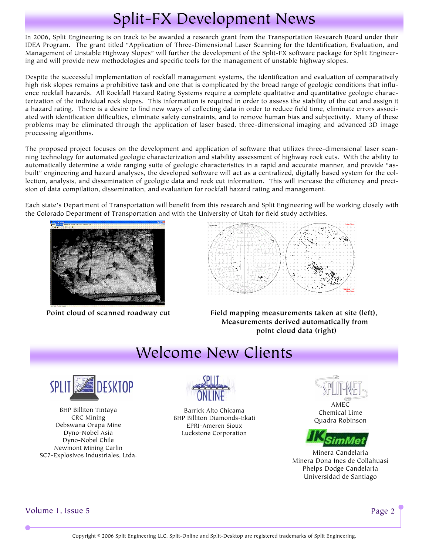# Split-FX Development News

In 2006, Split Engineering is on track to be awarded a research grant from the Transportation Research Board under their IDEA Program. The grant titled "Application of Three-Dimensional Laser Scanning for the Identification, Evaluation, and Management of Unstable Highway Slopes" will further the development of the Split-FX software package for Split Engineering and will provide new methodologies and specific tools for the management of unstable highway slopes.

Despite the successful implementation of rockfall management systems, the identification and evaluation of comparatively high risk slopes remains a prohibitive task and one that is complicated by the broad range of geologic conditions that influence rockfall hazards. All Rockfall Hazard Rating Systems require a complete qualitative and quantitative geologic characterization of the individual rock slopes. This information is required in order to assess the stability of the cut and assign it a hazard rating. There is a desire to find new ways of collecting data in order to reduce field time, eliminate errors associated with identification difficulties, eliminate safety constraints, and to remove human bias and subjectivity. Many of these problems may be eliminated through the application of laser based, three-dimensional imaging and advanced 3D image processing algorithms.

The proposed project focuses on the development and application of software that utilizes three-dimensional laser scanning technology for automated geologic characterization and stability assessment of highway rock cuts. With the ability to automatically determine a wide ranging suite of geologic characteristics in a rapid and accurate manner, and provide "asbuilt" engineering and hazard analyses, the developed software will act as a centralized, digitally based system for the collection, analysis, and dissemination of geologic data and rock cut information. This will increase the efficiency and precision of data compilation, dissemination, and evaluation for rockfall hazard rating and management.

Each state's Department of Transportation will benefit from this research and Split Engineering will be working closely with the Colorado Department of Transportation and with the University of Utah for field study activities.





Point cloud of scanned roadway cut Field mapping measurements taken at site (left),  **Measurements derived automatically from point cloud data (right)**

## Welcome New Clients



BHP Billiton Tintaya CRC Mining Debswana Orapa Mine Dyno-Nobel Asia Dyno-Nobel Chile Newmont Mining Carlin SC7-Explosivos Industriales, Ltda.



Barrick Alto Chicama BHP Billiton Diamonds-Ekati EPRI-Ameren Sioux Luckstone Corporation

AMEC Chemical Lime Quadra Robinson



Minera Candelaria Minera Dona Ines de Collahuasi Phelps Dodge Candelaria Universidad de Santiago

Volume 1, Issue 5 Page 2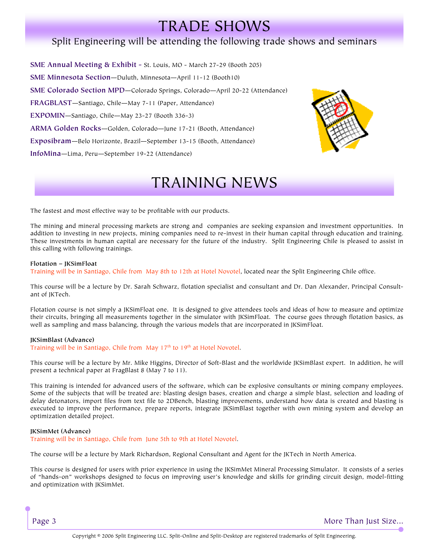## TRADE SHOWS

### Split Engineering will be attending the following trade shows and seminars

**SME Annual Meeting & Exhibit -** St. Louis, MO - March 27-29 (Booth 205) **SME Minnesota Section**—Duluth, Minnesota—April 11-12 (Booth10) **SME Colorado Section MPD**—Colorado Springs, Colorado—April 20-22 (Attendance) **FRAGBLAST**—Santiago, Chile—May 7-11 (Paper, Attendance) **EXPOMIN**—Santiago, Chile—May 23-27 (Booth 336-3) **ARMA Golden Rocks**—Golden, Colorado—June 17-21 (Booth, Attendance) **Exposibram**—Belo Horizonte, Brazil—September 13-15 (Booth, Attendance) **InfoMina**—Lima, Peru—September 19-22 (Attendance)



## TRAINING NEWS

The fastest and most effective way to be profitable with our products.

The mining and mineral processing markets are strong and companies are seeking expansion and investment opportunities. In addition to investing in new projects, mining companies need to re-invest in their human capital through education and training. These investments in human capital are necessary for the future of the industry. Split Engineering Chile is pleased to assist in this calling with following trainings.

#### **Flotation – JKSimFloat**

Training will be in Santiago, Chile from May 8th to 12th at Hotel Novotel, located near the Split Engineering Chile office.

This course will be a lecture by Dr. Sarah Schwarz, flotation specialist and consultant and Dr. Dan Alexander, Principal Consultant of IKTech.

Flotation course is not simply a JKSimFloat one. It is designed to give attendees tools and ideas of how to measure and optimize their circuits, bringing all measurements together in the simulator with JKSimFloat. The course goes through flotation basics, as well as sampling and mass balancing, through the various models that are incorporated in JKSimFloat.

#### **JKSimBlast (Advance)**

Training will be in Santiago, Chile from May 17<sup>th</sup> to 19<sup>th</sup> at Hotel Novotel.

This course will be a lecture by Mr. Mike Higgins, Director of Soft-Blast and the worldwide JKSimBlast expert. In addition, he will present a technical paper at FragBlast 8 (May 7 to 11).

This training is intended for advanced users of the software, which can be explosive consultants or mining company employees. Some of the subjects that will be treated are: blasting design bases, creation and charge a simple blast, selection and loading of delay detonators, import files from text file to 2DBench, blasting improvements, understand how data is created and blasting is executed to improve the performance, prepare reports, integrate JKSimBlast together with own mining system and develop an optimization detailed project.

#### **JKSimMet (Advance)**

Training will be in Santiago, Chile from June 5th to 9th at Hotel Novotel.

The course will be a lecture by Mark Richardson, Regional Consultant and Agent for the JKTech in North America.

This course is designed for users with prior experience in using the JKSimMet Mineral Processing Simulator. It consists of a series of "hands-on" workshops designed to focus on improving user's knowledge and skills for grinding circuit design, model-fitting and optimization with JKSimMet.

Page 3 and the state of the state of the state of the state of the More Than Just Size...